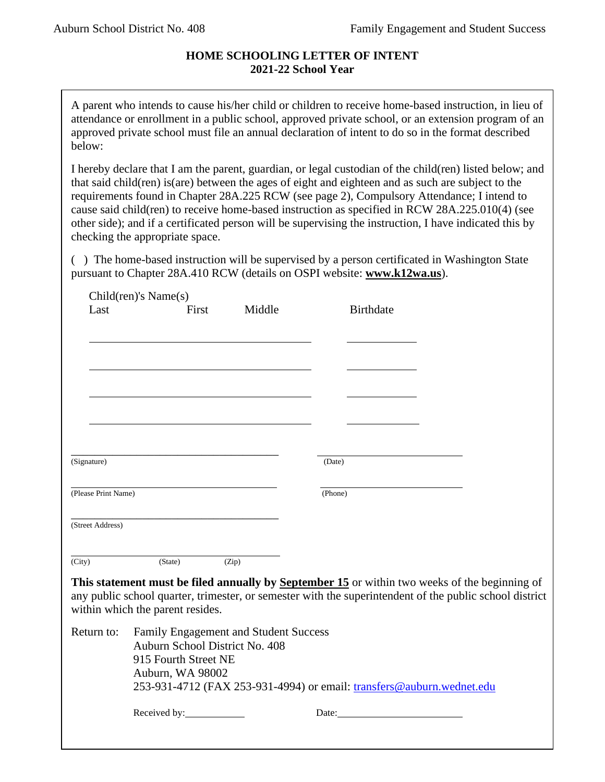# **HOME SCHOOLING LETTER OF INTENT 2021-22 School Year**

A parent who intends to cause his/her child or children to receive home-based instruction, in lieu of attendance or enrollment in a public school, approved private school, or an extension program of an approved private school must file an annual declaration of intent to do so in the format described below:

I hereby declare that I am the parent, guardian, or legal custodian of the child(ren) listed below; and that said child(ren) is(are) between the ages of eight and eighteen and as such are subject to the requirements found in Chapter 28A.225 RCW (see page 2), Compulsory Attendance; I intend to cause said child(ren) to receive home-based instruction as specified in RCW 28A.225.010(4) (see other side); and if a certificated person will be supervising the instruction, I have indicated this by checking the appropriate space.

( ) The home-based instruction will be supervised by a person certificated in Washington State pursuant to Chapter 28A.410 RCW (details on OSPI website: **www.k12wa.us**).

| Last                | $Children$ 's Name $(s)$         |                                       |                                                                                                                                                                                                          |  |
|---------------------|----------------------------------|---------------------------------------|----------------------------------------------------------------------------------------------------------------------------------------------------------------------------------------------------------|--|
|                     | First                            | Middle                                | <b>Birthdate</b>                                                                                                                                                                                         |  |
|                     |                                  |                                       |                                                                                                                                                                                                          |  |
|                     |                                  |                                       |                                                                                                                                                                                                          |  |
|                     |                                  |                                       |                                                                                                                                                                                                          |  |
|                     |                                  |                                       |                                                                                                                                                                                                          |  |
|                     |                                  |                                       |                                                                                                                                                                                                          |  |
|                     |                                  |                                       |                                                                                                                                                                                                          |  |
| (Signature)         |                                  |                                       | (Date)                                                                                                                                                                                                   |  |
| (Please Print Name) |                                  |                                       | (Phone)                                                                                                                                                                                                  |  |
| (Street Address)    |                                  |                                       |                                                                                                                                                                                                          |  |
| (City)              | (State)                          | (Zip)                                 |                                                                                                                                                                                                          |  |
|                     |                                  |                                       | This statement must be filed annually by September 15 or within two weeks of the beginning of<br>any public school quarter, trimester, or semester with the superintendent of the public school district |  |
|                     | within which the parent resides. |                                       |                                                                                                                                                                                                          |  |
| Return to:          | Auburn School District No. 408   | Family Engagement and Student Success |                                                                                                                                                                                                          |  |
|                     | 915 Fourth Street NE             |                                       |                                                                                                                                                                                                          |  |
|                     | Auburn, WA 98002                 |                                       | 253-931-4712 (FAX 253-931-4994) or email: transfers@auburn.wednet.edu                                                                                                                                    |  |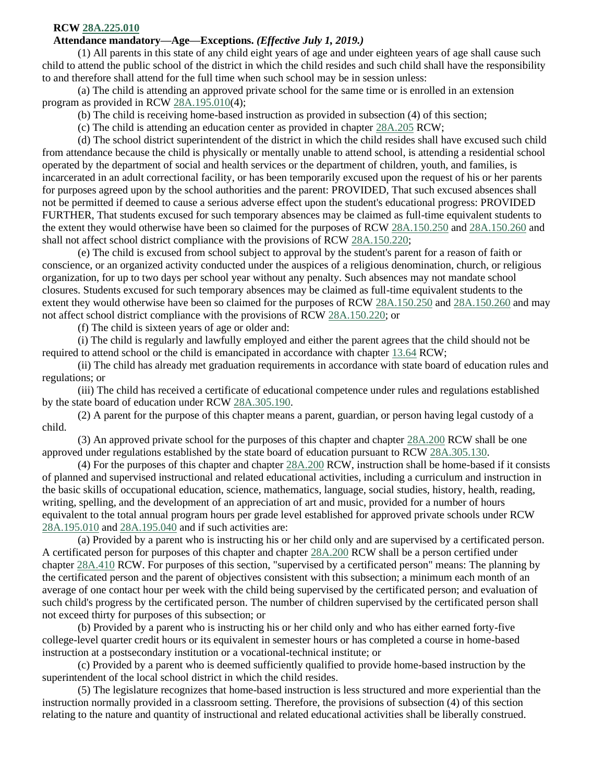## **RCW [28A.225.010](http://app.leg.wa.gov/RCW/default.aspx?cite=28A.225.010)**

## **Attendance mandatory—Age—Exceptions.** *(Effective July 1, 2019.)*

(1) All parents in this state of any child eight years of age and under eighteen years of age shall cause such child to attend the public school of the district in which the child resides and such child shall have the responsibility to and therefore shall attend for the full time when such school may be in session unless:

(a) The child is attending an approved private school for the same time or is enrolled in an extension program as provided in RCW [28A.195.010\(](http://app.leg.wa.gov/RCW/default.aspx?cite=28A.195.010)4);

(b) The child is receiving home-based instruction as provided in subsection (4) of this section;

(c) The child is attending an education center as provided in chapter [28A.205](http://app.leg.wa.gov/RCW/default.aspx?cite=28A.205) RCW;

(d) The school district superintendent of the district in which the child resides shall have excused such child from attendance because the child is physically or mentally unable to attend school, is attending a residential school operated by the department of social and health services or the department of children, youth, and families, is incarcerated in an adult correctional facility, or has been temporarily excused upon the request of his or her parents for purposes agreed upon by the school authorities and the parent: PROVIDED, That such excused absences shall not be permitted if deemed to cause a serious adverse effect upon the student's educational progress: PROVIDED FURTHER, That students excused for such temporary absences may be claimed as full-time equivalent students to the extent they would otherwise have been so claimed for the purposes of RCW [28A.150.250](http://app.leg.wa.gov/RCW/default.aspx?cite=28A.150.250) and [28A.150.260](http://app.leg.wa.gov/RCW/default.aspx?cite=28A.150.260) and shall not affect school district compliance with the provisions of RCW [28A.150.220;](http://app.leg.wa.gov/RCW/default.aspx?cite=28A.150.220)

(e) The child is excused from school subject to approval by the student's parent for a reason of faith or conscience, or an organized activity conducted under the auspices of a religious denomination, church, or religious organization, for up to two days per school year without any penalty. Such absences may not mandate school closures. Students excused for such temporary absences may be claimed as full-time equivalent students to the extent they would otherwise have been so claimed for the purposes of RCW [28A.150.250](http://app.leg.wa.gov/RCW/default.aspx?cite=28A.150.250) and [28A.150.260](http://app.leg.wa.gov/RCW/default.aspx?cite=28A.150.260) and may not affect school district compliance with the provisions of RCW [28A.150.220;](http://app.leg.wa.gov/RCW/default.aspx?cite=28A.150.220) or

(f) The child is sixteen years of age or older and:

(i) The child is regularly and lawfully employed and either the parent agrees that the child should not be required to attend school or the child is emancipated in accordance with chapter [13.64](http://app.leg.wa.gov/RCW/default.aspx?cite=13.64) RCW;

(ii) The child has already met graduation requirements in accordance with state board of education rules and regulations; or

(iii) The child has received a certificate of educational competence under rules and regulations established by the state board of education under RCW [28A.305.190.](http://app.leg.wa.gov/RCW/default.aspx?cite=28A.305.190)

(2) A parent for the purpose of this chapter means a parent, guardian, or person having legal custody of a child.

(3) An approved private school for the purposes of this chapter and chapter [28A.200](http://app.leg.wa.gov/RCW/default.aspx?cite=28A.200) RCW shall be one approved under regulations established by the state board of education pursuant to RCW [28A.305.130.](http://app.leg.wa.gov/RCW/default.aspx?cite=28A.305.130)

(4) For the purposes of this chapter and chapter [28A.200](http://app.leg.wa.gov/RCW/default.aspx?cite=28A.200) RCW, instruction shall be home-based if it consists of planned and supervised instructional and related educational activities, including a curriculum and instruction in the basic skills of occupational education, science, mathematics, language, social studies, history, health, reading, writing, spelling, and the development of an appreciation of art and music, provided for a number of hours equivalent to the total annual program hours per grade level established for approved private schools under RCW [28A.195.010](http://app.leg.wa.gov/RCW/default.aspx?cite=28A.195.010) and [28A.195.040](http://app.leg.wa.gov/RCW/default.aspx?cite=28A.195.040) and if such activities are:

(a) Provided by a parent who is instructing his or her child only and are supervised by a certificated person. A certificated person for purposes of this chapter and chapter [28A.200](http://app.leg.wa.gov/RCW/default.aspx?cite=28A.200) RCW shall be a person certified under chapter [28A.410](http://app.leg.wa.gov/RCW/default.aspx?cite=28A.410) RCW. For purposes of this section, "supervised by a certificated person" means: The planning by the certificated person and the parent of objectives consistent with this subsection; a minimum each month of an average of one contact hour per week with the child being supervised by the certificated person; and evaluation of such child's progress by the certificated person. The number of children supervised by the certificated person shall not exceed thirty for purposes of this subsection; or

(b) Provided by a parent who is instructing his or her child only and who has either earned forty-five college-level quarter credit hours or its equivalent in semester hours or has completed a course in home-based instruction at a postsecondary institution or a vocational-technical institute; or

(c) Provided by a parent who is deemed sufficiently qualified to provide home-based instruction by the superintendent of the local school district in which the child resides.

(5) The legislature recognizes that home-based instruction is less structured and more experiential than the instruction normally provided in a classroom setting. Therefore, the provisions of subsection (4) of this section relating to the nature and quantity of instructional and related educational activities shall be liberally construed.